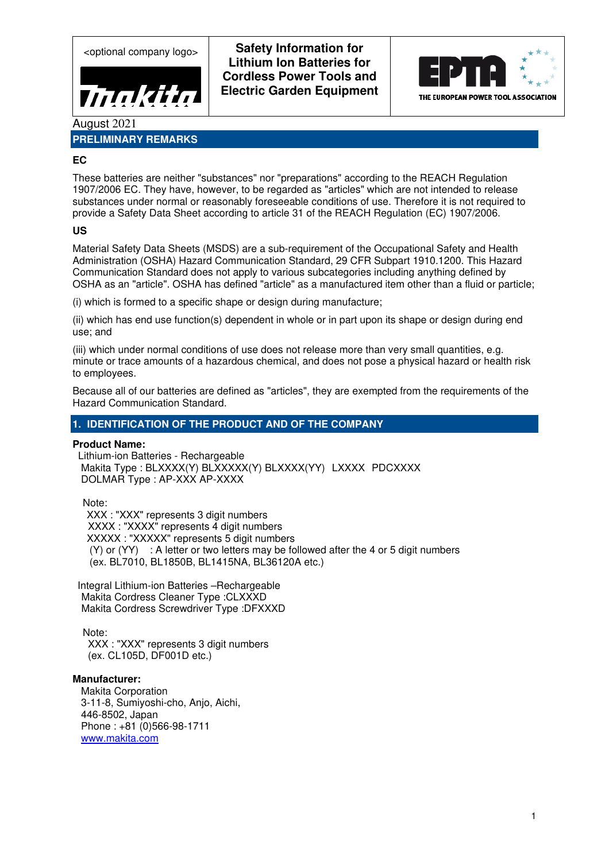

<optional company logo> **Safety Information for Lithium Ion Batteries for Cordless Power Tools and Electric Garden Equipment** 



August 2021

# **PRELIMINARY REMARKS**

## **EC**

These batteries are neither "substances" nor "preparations" according to the REACH Regulation 1907/2006 EC. They have, however, to be regarded as "articles" which are not intended to release substances under normal or reasonably foreseeable conditions of use. Therefore it is not required to provide a Safety Data Sheet according to article 31 of the REACH Regulation (EC) 1907/2006.

## **US**

Material Safety Data Sheets (MSDS) are a sub-requirement of the Occupational Safety and Health Administration (OSHA) Hazard Communication Standard, 29 CFR Subpart 1910.1200. This Hazard Communication Standard does not apply to various subcategories including anything defined by OSHA as an "article". OSHA has defined "article" as a manufactured item other than a fluid or particle;

(i) which is formed to a specific shape or design during manufacture;

(ii) which has end use function(s) dependent in whole or in part upon its shape or design during end use; and

(iii) which under normal conditions of use does not release more than very small quantities, e.g. minute or trace amounts of a hazardous chemical, and does not pose a physical hazard or health risk to employees.

Because all of our batteries are defined as "articles", they are exempted from the requirements of the Hazard Communication Standard.

## **1. IDENTIFICATION OF THE PRODUCT AND OF THE COMPANY**

### **Product Name:**

 Lithium-ion Batteries - Rechargeable Makita Type : BLXXXX(Y) BLXXXXX(Y) BLXXXX(YY) LXXXX PDCXXXX DOLMAR Type : AP-XXX AP-XXXX

Note: XXX : "XXX" represents 3 digit numbers XXXX : "XXXX" represents 4 digit numbers XXXXX : "XXXXX" represents 5 digit numbers  $(Y)$  or  $(YY)$  : A letter or two letters may be followed after the 4 or 5 digit numbers (ex. BL7010, BL1850B, BL1415NA, BL36120A etc.)

Integral Lithium-ion Batteries –Rechargeable Makita Cordress Cleaner Type :CLXXXD Makita Cordress Screwdriver Type :DFXXXD

Note:

XXX : "XXX" represents 3 digit numbers (ex. CL105D, DF001D etc.)

### **Manufacturer:**

 Makita Corporation 3-11-8, Sumiyoshi-cho, Anjo, Aichi, 446-8502, Japan Phone : +81 (0)566-98-1711 www.makita.com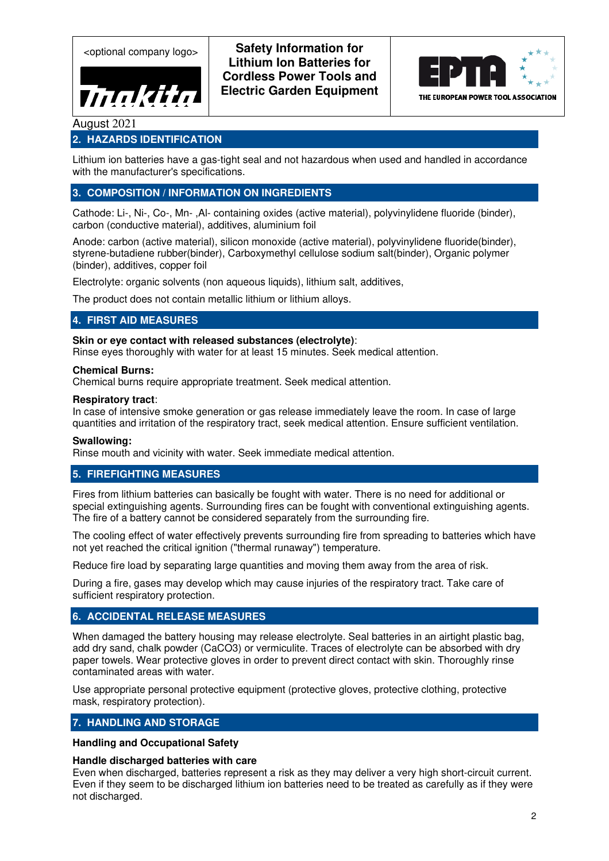Thakita

<optional company logo> **Safety Information for Lithium Ion Batteries for Cordless Power Tools and Electric Garden Equipment** 



# August 2021

## **2. HAZARDS IDENTIFICATION**

Lithium ion batteries have a gas-tight seal and not hazardous when used and handled in accordance with the manufacturer's specifications.

## **3. COMPOSITION / INFORMATION ON INGREDIENTS**

Cathode: Li-, Ni-, Co-, Mn- ,Al- containing oxides (active material), polyvinylidene fluoride (binder), carbon (conductive material), additives, aluminium foil

Anode: carbon (active material), silicon monoxide (active material), polyvinylidene fluoride(binder), styrene-butadiene rubber(binder), Carboxymethyl cellulose sodium salt(binder), Organic polymer (binder), additives, copper foil

Electrolyte: organic solvents (non aqueous liquids), lithium salt, additives,

The product does not contain metallic lithium or lithium alloys.

### **4. FIRST AID MEASURES**

#### **Skin or eye contact with released substances (electrolyte)**:

Rinse eyes thoroughly with water for at least 15 minutes. Seek medical attention.

#### **Chemical Burns:**

Chemical burns require appropriate treatment. Seek medical attention.

#### **Respiratory tract**:

In case of intensive smoke generation or gas release immediately leave the room. In case of large quantities and irritation of the respiratory tract, seek medical attention. Ensure sufficient ventilation.

#### **Swallowing:**

Rinse mouth and vicinity with water. Seek immediate medical attention.

### **5. FIREFIGHTING MEASURES**

Fires from lithium batteries can basically be fought with water. There is no need for additional or special extinguishing agents. Surrounding fires can be fought with conventional extinguishing agents. The fire of a battery cannot be considered separately from the surrounding fire.

The cooling effect of water effectively prevents surrounding fire from spreading to batteries which have not yet reached the critical ignition ("thermal runaway") temperature.

Reduce fire load by separating large quantities and moving them away from the area of risk.

During a fire, gases may develop which may cause injuries of the respiratory tract. Take care of sufficient respiratory protection.

### **6. ACCIDENTAL RELEASE MEASURES**

When damaged the battery housing may release electrolyte. Seal batteries in an airtight plastic bag, add dry sand, chalk powder (CaCO3) or vermiculite. Traces of electrolyte can be absorbed with dry paper towels. Wear protective gloves in order to prevent direct contact with skin. Thoroughly rinse contaminated areas with water.

Use appropriate personal protective equipment (protective gloves, protective clothing, protective mask, respiratory protection).

## **7. HANDLING AND STORAGE**

**Handling and Occupational Safety** 

#### **Handle discharged batteries with care**

Even when discharged, batteries represent a risk as they may deliver a very high short-circuit current. Even if they seem to be discharged lithium ion batteries need to be treated as carefully as if they were not discharged.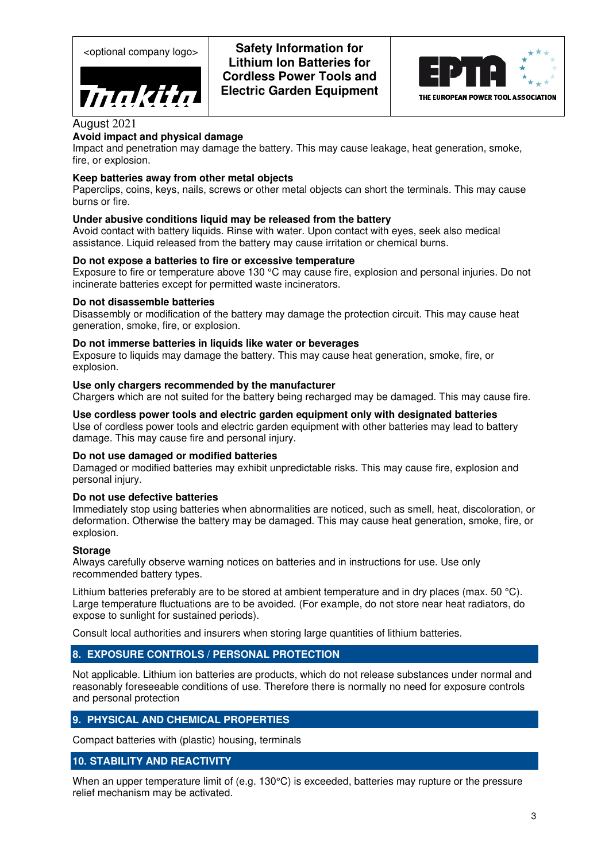

<optional company logo> **Safety Information for Lithium Ion Batteries for Cordless Power Tools and Electric Garden Equipment** 



## August 2021

## **Avoid impact and physical damage**

Impact and penetration may damage the battery. This may cause leakage, heat generation, smoke, fire, or explosion.

### **Keep batteries away from other metal objects**

Paperclips, coins, keys, nails, screws or other metal objects can short the terminals. This may cause burns or fire.

### **Under abusive conditions liquid may be released from the battery**

Avoid contact with battery liquids. Rinse with water. Upon contact with eyes, seek also medical assistance. Liquid released from the battery may cause irritation or chemical burns.

### **Do not expose a batteries to fire or excessive temperature**

Exposure to fire or temperature above 130 °C may cause fire, explosion and personal injuries. Do not incinerate batteries except for permitted waste incinerators.

#### **Do not disassemble batteries**

Disassembly or modification of the battery may damage the protection circuit. This may cause heat generation, smoke, fire, or explosion.

### **Do not immerse batteries in liquids like water or beverages**

Exposure to liquids may damage the battery. This may cause heat generation, smoke, fire, or explosion.

### **Use only chargers recommended by the manufacturer**

Chargers which are not suited for the battery being recharged may be damaged. This may cause fire.

**Use cordless power tools and electric garden equipment only with designated batteries**  Use of cordless power tools and electric garden equipment with other batteries may lead to battery damage. This may cause fire and personal injury.

### **Do not use damaged or modified batteries**

Damaged or modified batteries may exhibit unpredictable risks. This may cause fire, explosion and personal injury.

### **Do not use defective batteries**

Immediately stop using batteries when abnormalities are noticed, such as smell, heat, discoloration, or deformation. Otherwise the battery may be damaged. This may cause heat generation, smoke, fire, or explosion.

#### **Storage**

Always carefully observe warning notices on batteries and in instructions for use. Use only recommended battery types.

Lithium batteries preferably are to be stored at ambient temperature and in dry places (max. 50 °C). Large temperature fluctuations are to be avoided. (For example, do not store near heat radiators, do expose to sunlight for sustained periods).

Consult local authorities and insurers when storing large quantities of lithium batteries.

### **8. EXPOSURE CONTROLS / PERSONAL PROTECTION**

Not applicable. Lithium ion batteries are products, which do not release substances under normal and reasonably foreseeable conditions of use. Therefore there is normally no need for exposure controls and personal protection

## **9. PHYSICAL AND CHEMICAL PROPERTIES**

Compact batteries with (plastic) housing, terminals

### **10. STABILITY AND REACTIVITY**

When an upper temperature limit of (e.g. 130°C) is exceeded, batteries may rupture or the pressure relief mechanism may be activated.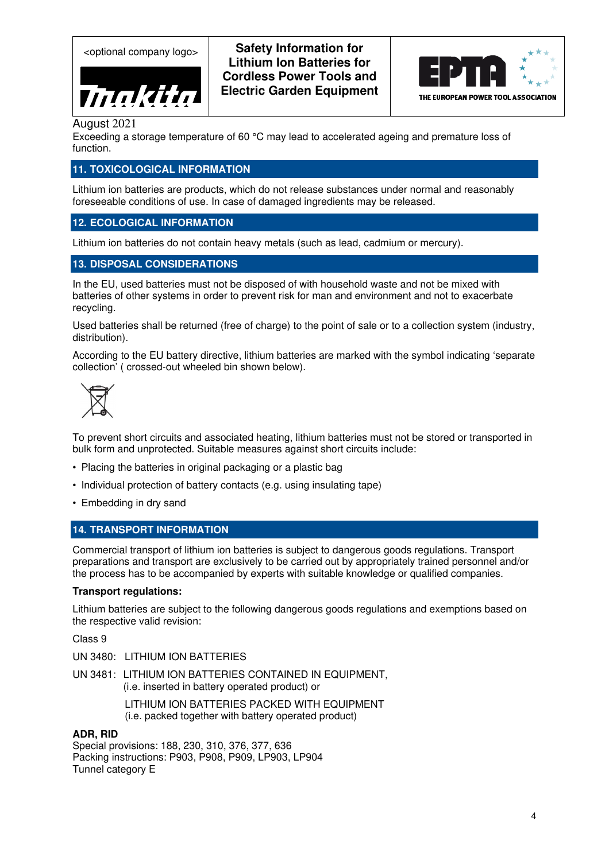

<optional company logo> **Safety Information for Lithium Ion Batteries for Cordless Power Tools and Electric Garden Equipment** 



August 2021

Exceeding a storage temperature of 60 °C may lead to accelerated ageing and premature loss of function.

## **11. TOXICOLOGICAL INFORMATION**

Lithium ion batteries are products, which do not release substances under normal and reasonably foreseeable conditions of use. In case of damaged ingredients may be released.

## **12. ECOLOGICAL INFORMATION**

Lithium ion batteries do not contain heavy metals (such as lead, cadmium or mercury).

## **13. DISPOSAL CONSIDERATIONS**

In the EU, used batteries must not be disposed of with household waste and not be mixed with batteries of other systems in order to prevent risk for man and environment and not to exacerbate recycling.

Used batteries shall be returned (free of charge) to the point of sale or to a collection system (industry, distribution).

According to the EU battery directive, lithium batteries are marked with the symbol indicating 'separate collection' ( crossed-out wheeled bin shown below).



To prevent short circuits and associated heating, lithium batteries must not be stored or transported in bulk form and unprotected. Suitable measures against short circuits include:

- Placing the batteries in original packaging or a plastic bag
- Individual protection of battery contacts (e.g. using insulating tape)
- Embedding in dry sand

### **14. TRANSPORT INFORMATION**

Commercial transport of lithium ion batteries is subject to dangerous goods regulations. Transport preparations and transport are exclusively to be carried out by appropriately trained personnel and/or the process has to be accompanied by experts with suitable knowledge or qualified companies.

### **Transport regulations:**

Lithium batteries are subject to the following dangerous goods regulations and exemptions based on the respective valid revision:

Class 9

- UN 3480: LITHIUM ION BATTERIES
- UN 3481: LITHIUM ION BATTERIES CONTAINED IN EQUIPMENT, (i.e. inserted in battery operated product) or

LITHIUM ION BATTERIES PACKED WITH EQUIPMENT (i.e. packed together with battery operated product)

### **ADR, RID**

Special provisions: 188, 230, 310, 376, 377, 636 Packing instructions: P903, P908, P909, LP903, LP904 Tunnel category E